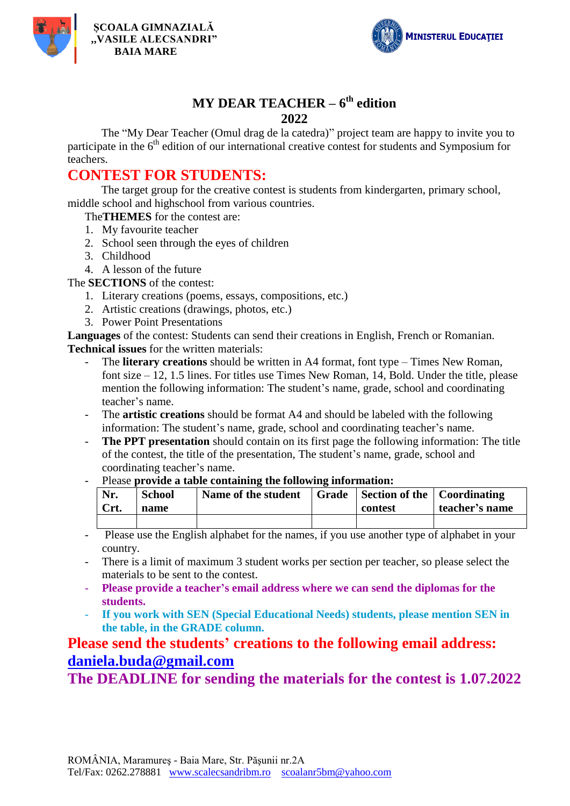



## **MY DEAR TEACHER – 6 th edition 2022**

The "My Dear Teacher (Omul drag de la catedra)" project team are happy to invite you to participate in the  $6<sup>th</sup>$  edition of our international creative contest for students and Symposium for teachers.

## **CONTEST FOR STUDENTS:**

The target group for the creative contest is students from kindergarten, primary school, middle school and highschool from various countries.

- The**THEMES** for the contest are:
- 1. My favourite teacher
- 2. School seen through the eyes of children
- 3. Childhood
- 4. A lesson of the future

The **SECTIONS** of the contest:

- 1. Literary creations (poems, essays, compositions, etc.)
- 2. Artistic creations (drawings, photos, etc.)
- 3. Power Point Presentations

**Languages** of the contest: Students can send their creations in English, French or Romanian. **Technical issues** for the written materials:

- The **literary creations** should be written in A4 format, font type Times New Roman, font size – 12, 1.5 lines. For titles use Times New Roman, 14, Bold. Under the title, please mention the following information: The student's name, grade, school and coordinating teacher's name.
- The **artistic creations** should be format A4 and should be labeled with the following information: The student's name, grade, school and coordinating teacher's name.
- The PPT presentation should contain on its first page the following information: The title of the contest, the title of the presentation, The student's name, grade, school and coordinating teacher's name.
- Please **provide a table containing the following information:**

| Nr.<br>Crt. | <b>School</b><br>name | Name of the student | Grade   Section of the   Coordinating<br>contest | teacher's name |
|-------------|-----------------------|---------------------|--------------------------------------------------|----------------|
|             |                       |                     |                                                  |                |

- Please use the English alphabet for the names, if you use another type of alphabet in your country.
- There is a limit of maximum 3 student works per section per teacher, so please select the materials to be sent to the contest.
- **Please provide a teacher's email address where we can send the diplomas for the students.**
- **If you work with SEN (Special Educational Needs) students, please mention SEN in the table, in the GRADE column.**

## **Please send the students' creations to the following email address: [daniela.buda@gmail.com](mailto:daniela.buda@gmail.com)**

**The DEADLINE for sending the materials for the contest is 1.07.2022**